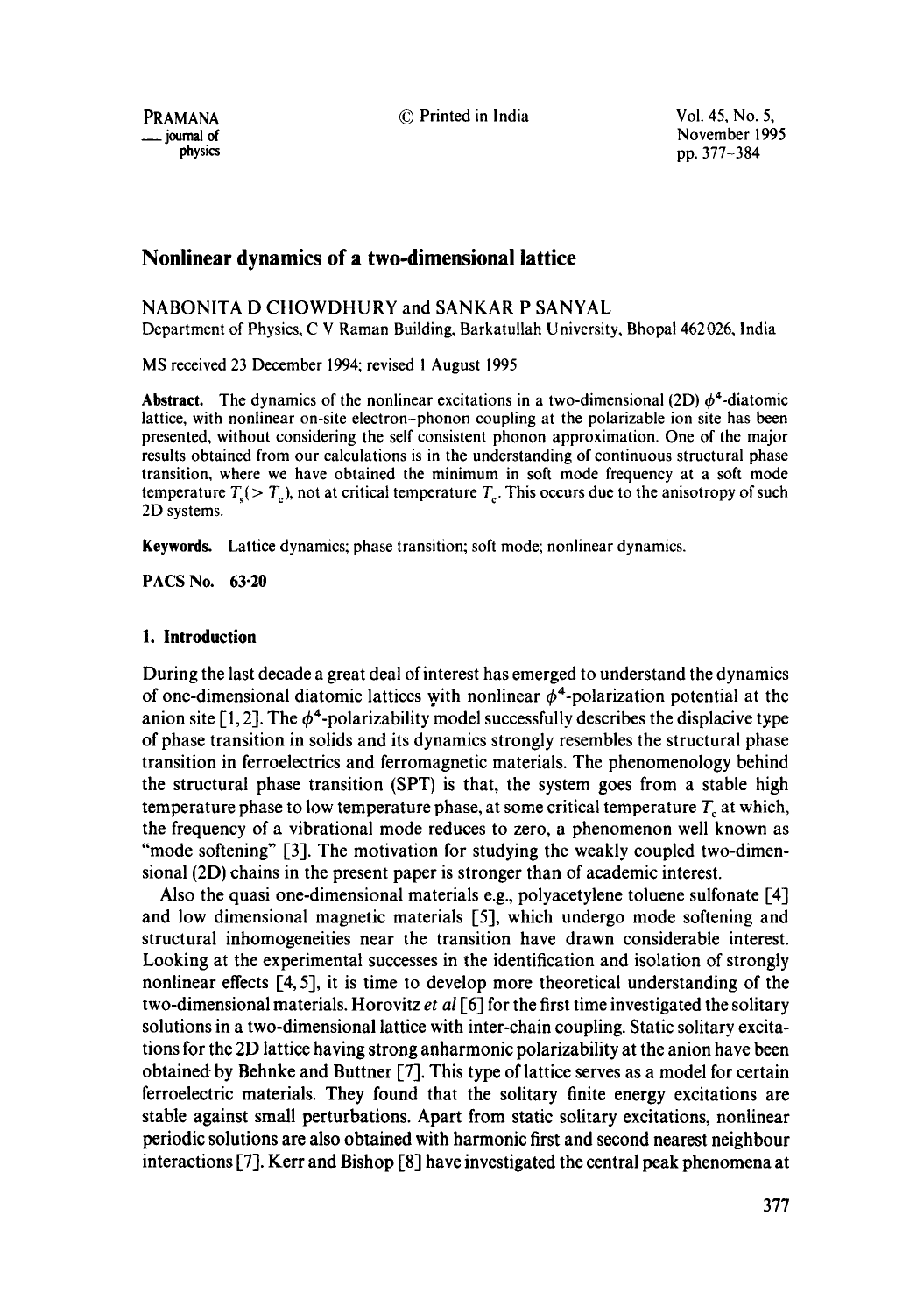PRAMANA © Printed in India Vol. 45, No. 5,

 $\frac{1}{2}$  journal of physics  $\frac{1995}{2}$ pp. 377-384

# **Nonlinear dynamics of a two-dimensional lattice**

# NABONITA D CHOWDHURY and SANKAR P SANYAL

Department of Physics, C V Raman Building, Barkatullah University, Bhopal 462026, India

MS received 23 December 1994; revised ! August 1995

**Abstract.** The dynamics of the nonlinear excitations in a two-dimensional (2D)  $\phi^4$ -diatomic lattice, with nonlinear on-site electron-phonon coupling at the polarizable ion site has been presented, without considering the self consistent phonon approximation. One of the major results obtained from our calculations is in the understanding of continuous structural phase transition, where we have obtained the minimum in soft mode frequency at a soft mode temperature  $T<sub>s</sub>(> T<sub>s</sub>)$ , not at critical temperature  $T<sub>s</sub>$ . This occurs due to the anisotropy of such 2D systems.

Keywords. Lattice dynamics; phase transition; soft mode; nonlinear dynamics.

**PACS No. 63.20** 

### **1. Introduction**

During the last decade a great deal of interest has emerged to understand the dynamics of one-dimensional diatomic lattices with nonlinear  $\phi^4$ -polarization potential at the anion site  $[1, 2]$ . The  $\phi^4$ -polarizability model successfully describes the displacive type of phase transition in solids and its dynamics strongly resembles the structural phase transition in ferroelectrics and ferromagnetic materials. The phenomenology behind the structural phase transition (SPT) is that, the system goes from a stable high temperature phase to low temperature phase, at some critical temperature  $T_c$  at which, the frequency of a vibrational mode reduces to zero, a phenomenon well known as "mode softening" [3]. The motivation for studying the weakly coupled two-dimensional (2D) chains in the present paper is stronger than of academic interest.

Also the quasi one-dimensional materials e.g., polyacetylene toluene sulfonate [4] and low dimensional magnetic materials [5], which undergo mode softening and structural inhomogeneities near the transition have drawn considerable interest. Looking at the experimental successes in the identification and isolation of strongly nonlinear effects [4, 5], it is time to develop more theoretical understanding of the two-dimensional materials. Horovitz *et al* [6] for the first time investigated the solitary solutions in a two-dimensional lattice with inter-chain coupling. Static solitary excitations for the 2D lattice having strong anharmonic polarizability at the anion have been obtained by Behnke and Buttner [7]. This type of lattice serves as a model for certain ferroelectric materials. They found that the solitary finite energy excitations are stable against small perturbations. Apart from static solitary excitations, nonlinear periodic solutions are also obtained with harmonic first and second nearest neighbour interactions [7]. Kerr and Bishop [8] have investigated the central peak phenomena at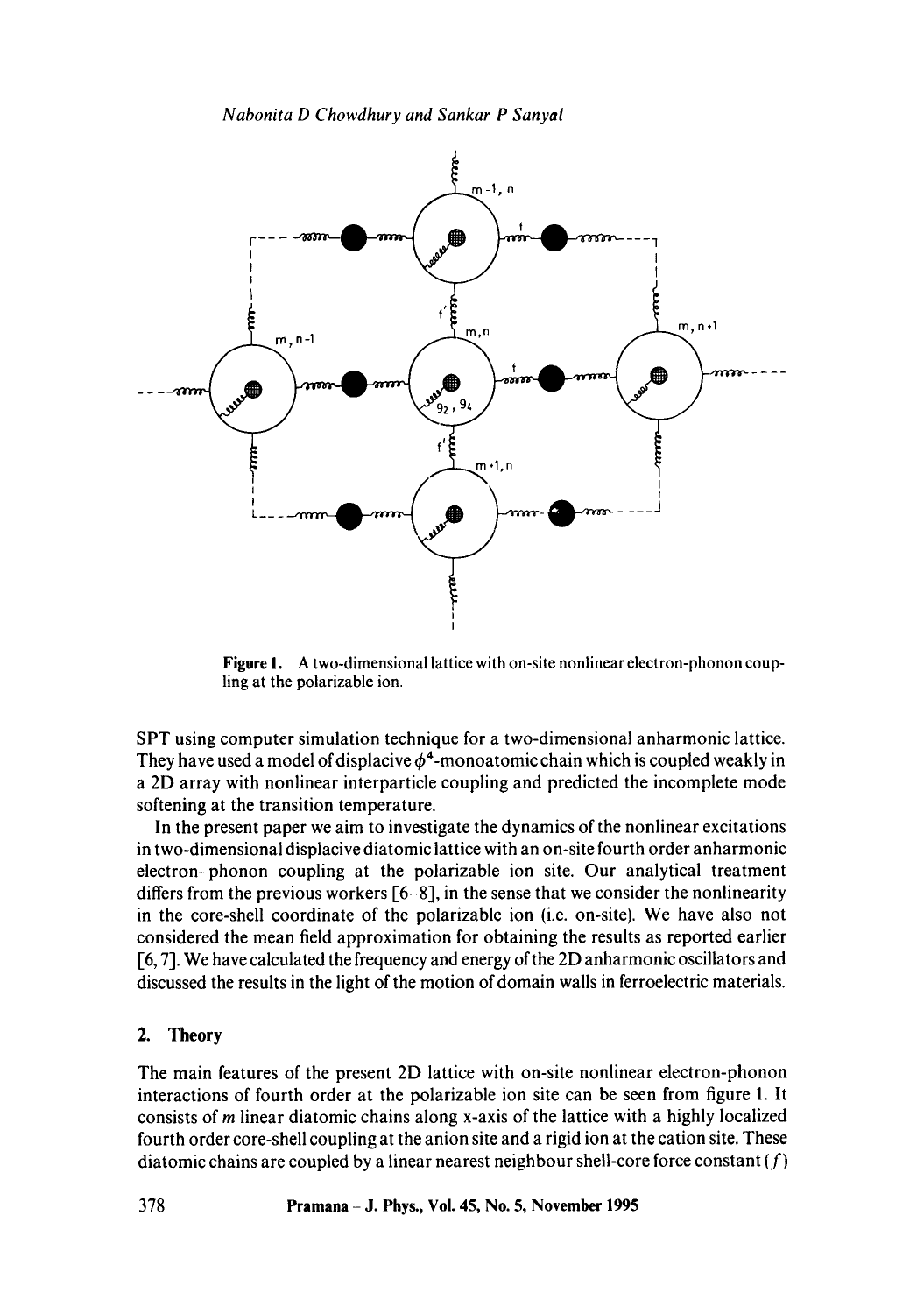*Nabonita D Chowdhury and Sankar P Sanyal* 



**Figure** I. A two-dimensional lattice with on-site nonlinear electron-phonon coupling at the polarizable ion.

SPT using computer simulation technique for a two-dimensional anharmonic lattice. They have used a model of displacive  $\phi^4$ -monoatomic chain which is coupled weakly in a 2D array with nonlinear interparticle coupling and predicted the incomplete mode softening at the transition temperature.

In the present paper we aim to investigate the dynamics of the nonlinear excitations in two-dimensional displacive diatomic lattice with an on-site fourth order anharmonic electron-phonon coupling at the polarizable ion site. Our analytical treatment differs from the previous workers [6-8], in the sense that we consider the nonlinearity in the core-shell coordinate of the polarizable ion (i.e. on-site). We have also not considered the mean field approximation for obtaining the results as reported earlier [6, 7]. We have calculated the frequency and energy of the 2D anharmonic oscillators and discussed the results in the light of the motion of domain walls in ferroelectric materials.

### 2. **Theory**

The main features of the present 2D lattice with on-site nonlinear electron-phonon interactions of fourth order at the polarizable ion site can be seen from figure 1. It consists of m linear diatomic chains along x-axis of the lattice with a highly localized fourth order core-shell coupling at the anion site and a rigid ion at the cation site. These diatomic chains are coupled by a linear nearest neighbour shell-core force constant  $(f)$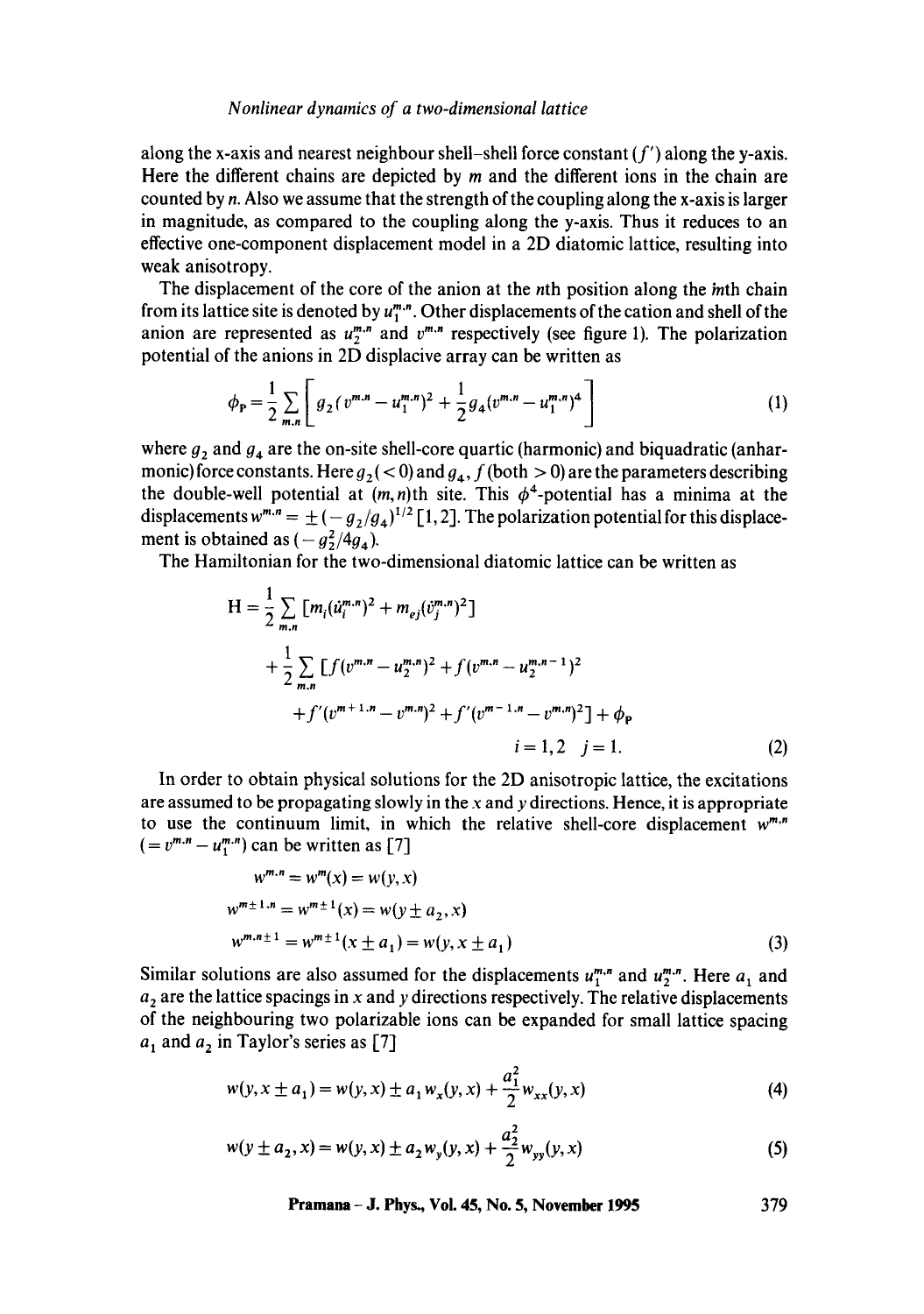#### *Nonlinear dynamics of a two-dimensional lattice*

along the x-axis and nearest neighbour shell-shell force constant  $(f')$  along the y-axis. Here the different chains are depicted by  $m$  and the different ions in the chain are counted by n. Also we assume that the strength of the coupling along the x-axis is larger in magnitude, as compared to the coupling along the y-axis. Thus it reduces to an effective one-component displacement model in a 2D diatomic lattice, resulting into weak anisotropy.

The displacement of the core of the anion at the nth position along the *in*th chain from its lattice site is denoted by  $u_1^{m,n}$ . Other displacements of the cation and shell of the anion are represented as  $u_2^{m,n}$  and  $v^{m,n}$  respectively (see figure 1). The polarization potential of the anions in 2D displacive array can be written as

$$
\phi_{\mathbf{P}} = \frac{1}{2} \sum_{m,n} \left[ g_2 (v^{m,n} - u_1^{m,n})^2 + \frac{1}{2} g_4 (v^{m,n} - u_1^{m,n})^4 \right] \tag{1}
$$

where  $g_2$  and  $g_4$  are the on-site shell-core quartic (harmonic) and biquadratic (anharmonic) force constants. Here  $g_2 \, (< 0)$  and  $g_4$ , f (both  $> 0$ ) are the parameters describing the double-well potential at  $(m, n)$ th site. This  $\phi^4$ -potential has a minima at the displacements  $w^{m,n} = \pm (-g_2/g_4)^{1/2}$  [1, 2]. The polarization potential for this displacement is obtained as  $(-g_2^2/4g_4)$ .

The Hamiltonian for the two-dimensional diatomic lattice can be written as

$$
H = \frac{1}{2} \sum_{m,n} [m_i (\dot{u}_i^{m,n})^2 + m_{ej} (\dot{v}_j^{m,n})^2]
$$
  
+ 
$$
\frac{1}{2} \sum_{m,n} [f(v^{m,n} - u_2^{m,n})^2 + f(v^{m,n} - u_2^{m,n-1})^2
$$
  
+ 
$$
f'(v^{m+1,n} - v^{m,n})^2 + f'(v^{m-1,n} - v^{m,n})^2] + \phi_P
$$
  

$$
i = 1, 2 \quad j = 1.
$$
 (2)

In order to obtain physical solutions for the 2D anisotropic lattice, the excitations are assumed to be propagating slowly in the  $x$  and  $y$  directions. Hence, it is appropriate to use the continuum limit, in which the relative shell-core displacement *w"'"*   $(= v^{m,n} - u^{m,n}_1)$  can be written as [7]

$$
w^{m,n} = w^m(x) = w(y, x)
$$
  
\n
$$
w^{m \pm 1,n} = w^{m \pm 1}(x) = w(y \pm a_2, x)
$$
  
\n
$$
w^{m,n \pm 1} = w^{m \pm 1}(x \pm a_1) = w(y, x \pm a_1)
$$
\n(3)

Similar solutions are also assumed for the displacements  $u_1^{m,n}$  and  $u_2^{m,n}$ . Here  $a_1$  and  $a_2$  are the lattice spacings in x and y directions respectively. The relative displacements of the neighbouring two polarizable ions can be expanded for small lattice spacing  $a_1$  and  $a_2$  in Taylor's series as [7]

$$
w(y, x \pm a_1) = w(y, x) \pm a_1 w_x(y, x) + \frac{a_1^2}{2} w_{xx}(y, x)
$$
 (4)

$$
w(y \pm a_2, x) = w(y, x) \pm a_2 w_y(y, x) + \frac{a_2^2}{2} w_{yy}(y, x)
$$
 (5)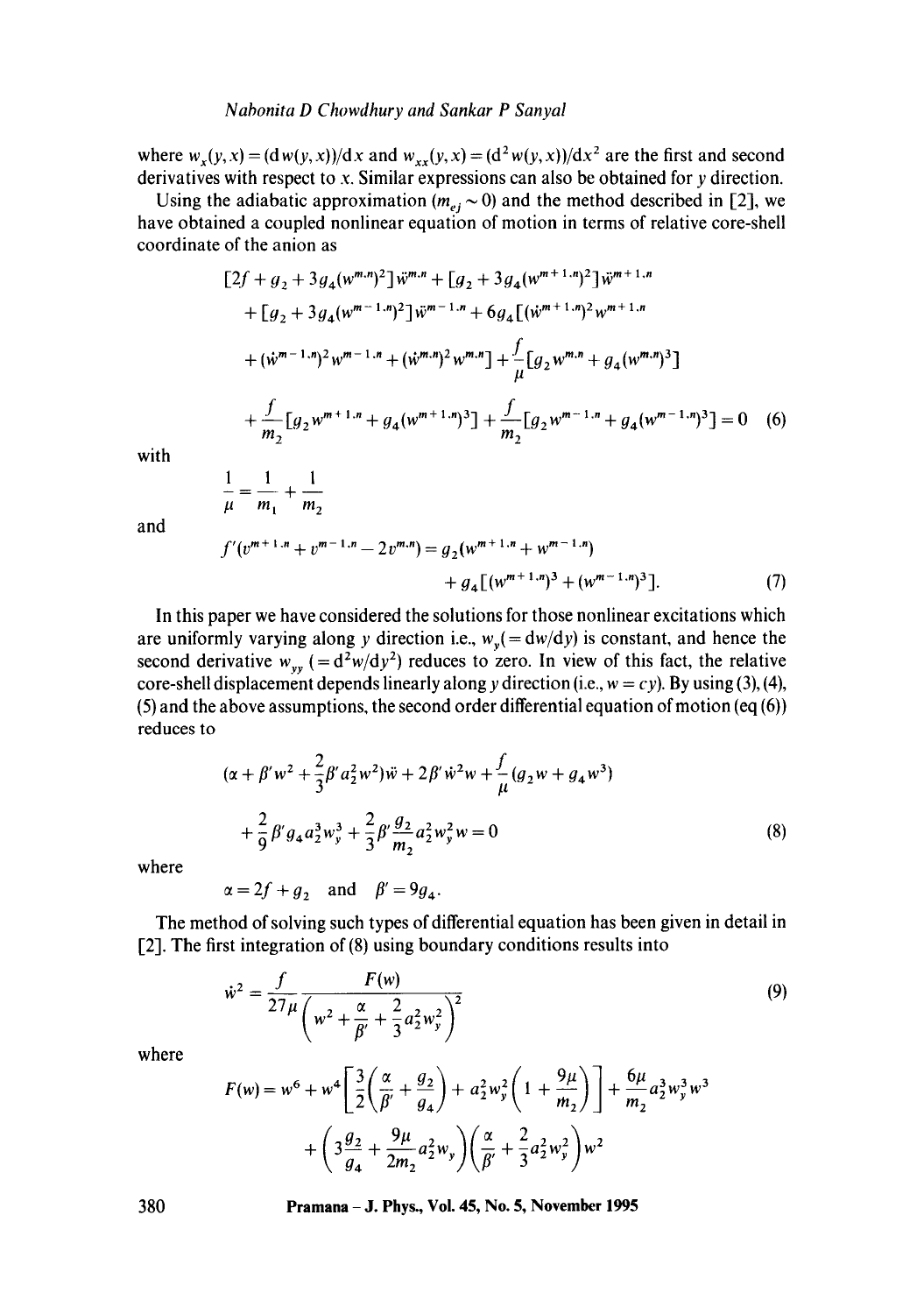where  $w_x(y, x) = (dw(y, x))/dx$  and  $w_{xx}(y, x) = (d^2 w(y, x))/dx^2$  are the first and second derivatives with respect to x. Similar expressions can also be obtained for y direction.

Using the adiabatic approximation  $(m_{ej} \sim 0)$  and the method described in [2], we have obtained a coupled nonlinear equation of motion in terms of relative core-shell coordinate of the anion as

$$
[2f + g_2 + 3g_4(w^{m,n})^2] \ddot{w}^{m,n} + [g_2 + 3g_4(w^{m+1,n})^2] \ddot{w}^{m+1,n}
$$
  
+ 
$$
[g_2 + 3g_4(w^{m-1,n})^2] \ddot{w}^{m-1,n} + 6g_4 [(\dot{w}^{m+1,n})^2 w^{m+1,n}
$$
  
+ 
$$
(\dot{w}^{m-1,n})^2 w^{m-1,n} + (\dot{w}^{m,n})^2 w^{m,n} + \frac{f}{\mu} [g_2 w^{m,n} + g_4(w^{m,n})^3]
$$
  
+ 
$$
\frac{f}{m_2} [g_2 w^{m+1,n} + g_4(w^{m+1,n})^3] + \frac{f}{m_2} [g_2 w^{m-1,n} + g_4(w^{m-1,n})^3] = 0
$$
 (6)

with

and

$$
\frac{1}{\mu} = \frac{1}{m_1} + \frac{1}{m_2}
$$
  

$$
f'(v^{m+1,n} + v^{m-1,n} - 2v^{m,n}) = g_2(w^{m+1,n} + w^{m-1,n})
$$
  

$$
+ g_4 \left[ (w^{m+1,n})^3 + (w^{m-1,n})^3 \right].
$$
 (7)

In this paper we have considered the solutions for those nonlinear excitations which are uniformly varying along y direction i.e.,  $w_y(=\frac{dw}{dy})$  is constant, and hence the second derivative  $w_{yy}$  (= $d^2w/dy^2$ ) reduces to zero. In view of this fact, the relative core-shell displacement depends linearly along y direction (i.e.,  $w = cy$ ). By using (3), (4), (5) and the above assumptions, the second order differential equation of motion (eq  $(6)$ ) reduces to

$$
(\alpha + \beta' w^2 + \frac{2}{3}\beta' a_2^2 w^2)\ddot{w} + 2\beta' \dot{w}^2 w + \frac{f}{\mu}(g_2 w + g_4 w^3) + \frac{2}{9}\beta' g_4 a_2^3 w_y^3 + \frac{2}{3}\beta' \frac{g_2}{m_2} a_2^2 w_y^2 w = 0
$$
\n(8)

where

 $\alpha = 2f + g_2$  and  $\beta' = 9g_4$ .

The method of solving such types of differential equation has been given in detail in [2]. The first integration of (8) using boundary conditions results into

$$
\dot{w}^2 = \frac{f}{27\mu} \frac{F(w)}{\left(w^2 + \frac{\alpha}{\beta'} + \frac{2}{3}a_2^2w_y^2\right)^2}
$$
\n(9)

where

$$
F(w) = w^6 + w^4 \left[ \frac{3}{2} \left( \frac{\alpha}{\beta'} + \frac{g_2}{g_4} \right) + a_2^2 w_y^2 \left( 1 + \frac{9\mu}{m_2} \right) \right] + \frac{6\mu}{m_2} a_2^3 w_y^3 w^3
$$

$$
+ \left( 3 \frac{g_2}{g_4} + \frac{9\mu}{2m_2} a_2^2 w_y \right) \left( \frac{\alpha}{\beta'} + \frac{2}{3} a_2^2 w_y^2 \right) w^2
$$

**380 Pramana - J. Phys., Vol. 45, No. 5, November 1995**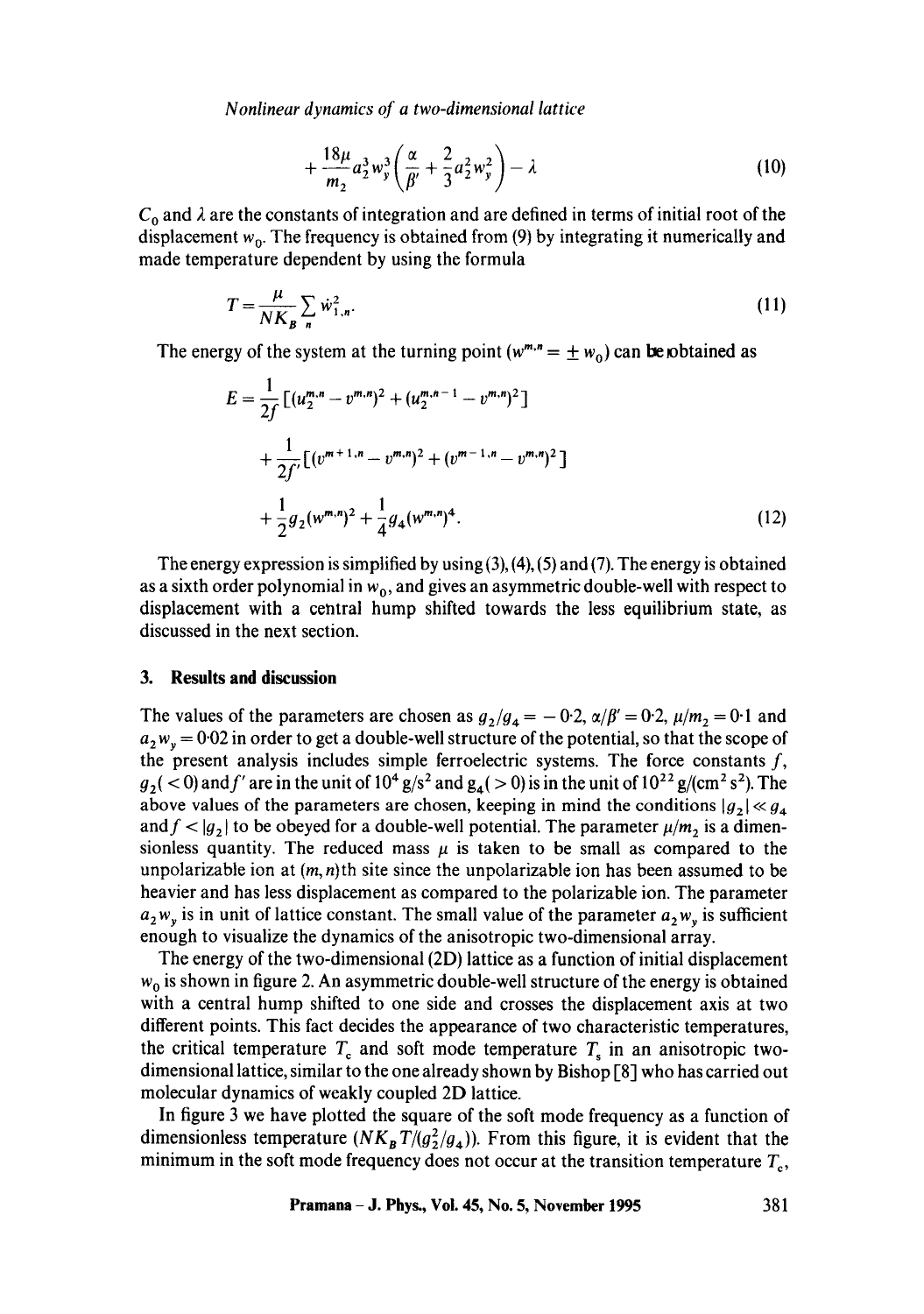*Nonlinear dynamics of a two-dimensional lattice* 

$$
+\frac{18\mu}{m_2}a_2^3w_y^3\bigg(\frac{\alpha}{\beta'}+\frac{2}{3}a_2^2w_y^2\bigg)-\lambda\hspace{1cm}(10)
$$

 $C_0$  and  $\lambda$  are the constants of integration and are defined in terms of initial root of the displacement  $w_0$ . The frequency is obtained from (9) by integrating it numerically and made temperature dependent by using the formula

$$
T = \frac{\mu}{NK_B} \sum_{n} \dot{w}_{1,n}^2.
$$
 (11)

The energy of the system at the turning point ( $w^{m,n} = \pm w_0$ ) can be obtained as

$$
E = \frac{1}{2f} \left[ (u_2^{m,n} - v^{m,n})^2 + (u_2^{m,n-1} - v^{m,n})^2 \right]
$$
  
+ 
$$
\frac{1}{2f'} \left[ (v^{m+1,n} - v^{m,n})^2 + (v^{m-1,n} - v^{m,n})^2 \right]
$$
  
+ 
$$
\frac{1}{2} g_2 (w^{m,n})^2 + \frac{1}{4} g_4 (w^{m,n})^4.
$$
 (12)

The energy expression is simplified by using  $(3)$ ,  $(4)$ ,  $(5)$  and  $(7)$ . The energy is obtained as a sixth order polynomial in  $w_0$ , and gives an asymmetric double-well with respect to displacement with a central hump shifted towards the less equilibrium state, as discussed in the next section.

#### **3. Results and discussion**

The values of the parameters are chosen as  $g_2/g_4 = -0.2$ ,  $\alpha/\beta' = 0.2$ ,  $\mu/m_2 = 0.1$  and  $a_2w_v = 0.02$  in order to get a double-well structure of the potential, so that the scope of the present analysis includes simple ferroelectric systems. The force constants  $f$ ,  $g_2$  ( < 0) and f' are in the unit of 10<sup>4</sup> g/s<sup>2</sup> and g<sub>4</sub>( > 0) is in the unit of 10<sup>22</sup> g/(cm<sup>2</sup> s<sup>2</sup>). The above values of the parameters are chosen, keeping in mind the conditions  $|g_2| \ll g_4$ and  $f < |g_2|$  to be obeyed for a double-well potential. The parameter  $\mu/m_2$  is a dimensionless quantity. The reduced mass  $\mu$  is taken to be small as compared to the unpolarizable ion at  $(m, n)$ th site since the unpolarizable ion has been assumed to be heavier and has less displacement as compared to the polarizable ion. The parameter  $a_2w_y$  is in unit of lattice constant. The small value of the parameter  $a_2w_y$  is sufficient enough to visualize the dynamics of the anisotropic two-dimensional array.

The energy of the two-dimensional (2D) lattice as a function of initial displacement  $w_0$  is shown in figure 2. An asymmetric double-well structure of the energy is obtained with a central hump shifted to one side and crosses the displacement axis at two different points. This fact decides the appearance of two characteristic temperatures, the critical temperature  $T_c$  and soft mode temperature  $T_s$  in an anisotropic twodimensional lattice, similar to the one already shown by Bishop [8] who has carried out molecular dynamics of weakly coupled 2D lattice.

In figure 3 we have plotted the square of the soft mode frequency as a function of dimensionless temperature  $(NK_B T/(g_2^2/g_4))$ . From this figure, it is evident that the minimum in the soft mode frequency does not occur at the transition temperature  $T_c$ ,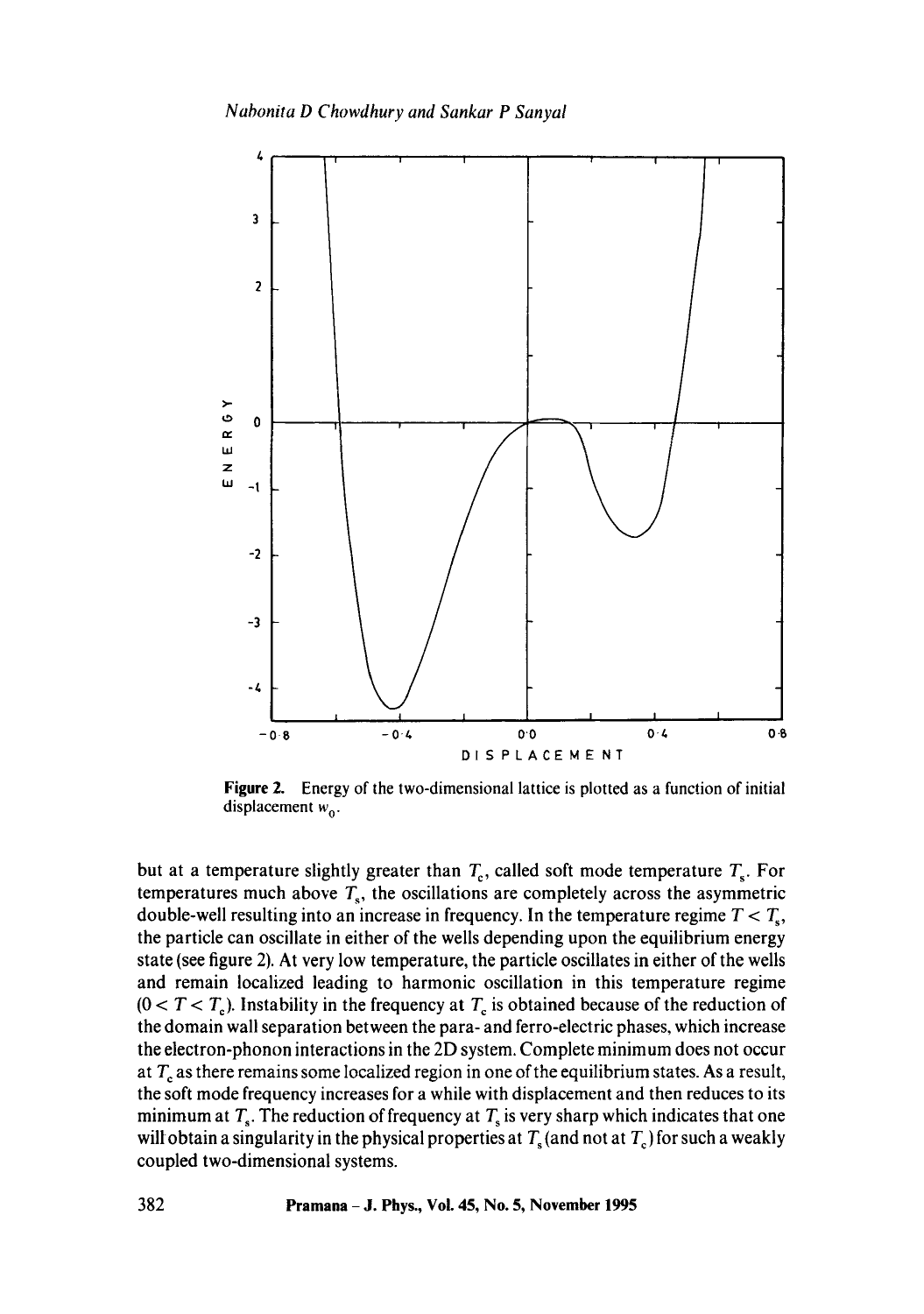

**Figure** 2. Energy of the two-dimensional lattice is plotted as a function of initial displacement  $w_0$ .

but at a temperature slightly greater than  $T_c$ , called soft mode temperature  $T_s$ . For temperatures much above  $T_s$ , the oscillations are completely across the asymmetric double-well resulting into an increase in frequency. In the temperature regime  $T < T_s$ , the particle can oscillate in either of the wells depending upon the equilibrium energy state (see figure 2). At very low temperature, the particle oscillates in either of the wells and remain localized leading to harmonic oscillation in this temperature regime  $(0 < T < T_c)$ . Instability in the frequency at  $T_c$  is obtained because of the reduction of the domain wall separation between the para- and ferro-electric phases, which increase the electron-phonon interactions in the 2D system. Complete minimum does not occur at  $T_c$  as there remains some localized region in one of the equilibrium states. As a result, the soft mode frequency increases for a while with displacement and then reduces to its minimum at  $T_s$ . The reduction of frequency at  $T_s$  is very sharp which indicates that one will obtain a singularity in the physical properties at  $T_s$  (and not at  $T_c$ ) for such a weakly coupled two-dimensional systems.

**382 Pramana - J. Phys., Vol. 45, No. 5, November 1995**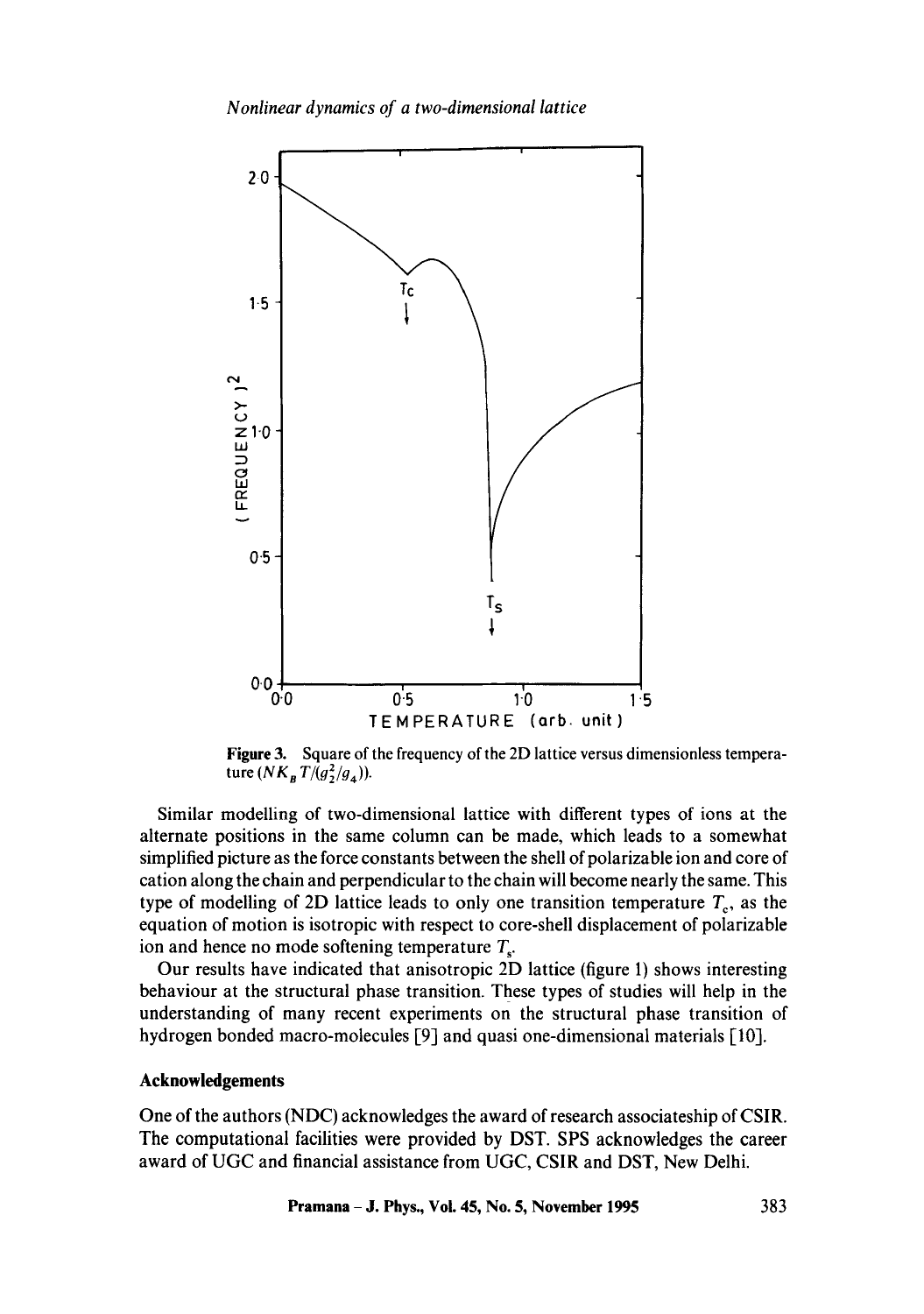

**Figure** 3. Square of the frequency of the 2D lattice versus dimensionless temperature  $(NK_{B}T/(g_{2}^{2}/g_{4}))$ .

Similar modelling of two-dimensional lattice with different types of ions at the alternate positions in the same column can be made, which leads to a somewhat simplified picture as the force constants between the shell of polarizable ion and core of cation along the chain and perpendicular to the chain will become nearly the same. This type of modelling of 2D lattice leads to only one transition temperature  $T_c$ , as the equation of motion is isotropic with respect to core-shell displacement of polarizable ion and hence no mode softening temperature  $T_s$ .

Our results have indicated that anisotropic 2D lattice (figure 1) shows interesting behaviour at the structural phase transition. These types of studies will help in the understanding of many recent experiments on the structural phase transition of hydrogen bonded macro-molecules [9] and quasi one-dimensional materials [10].

# **Acknowledgements**

One of the authors (NDC) acknowledges the award of research associateship of CSIR. The computational facilities were provided by DST. SPS acknowledges the career award of UGC and financial assistance from UGC, CSIR and DST, New Delhi.